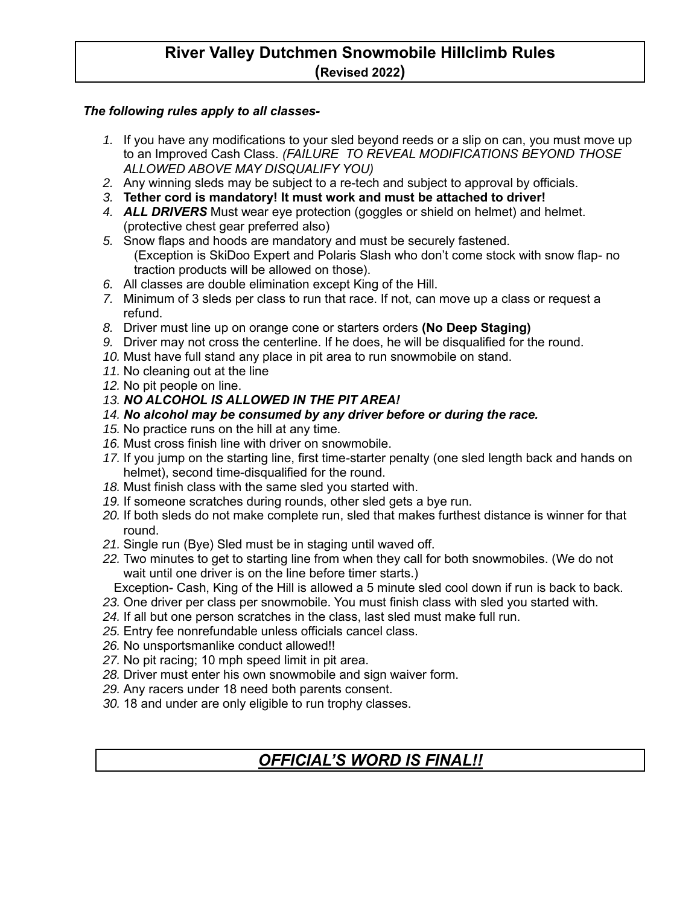# **River Valley Dutchmen Snowmobile Hillclimb Rules (Revised 2022)**

## *The following rules apply to all classes-*

- *1.* If you have any modifications to your sled beyond reeds or a slip on can, you must move up to an Improved Cash Class. *(FAILURE TO REVEAL MODIFICATIONS BEYOND THOSE ALLOWED ABOVE MAY DISQUALIFY YOU)*
- *2.* Any winning sleds may be subject to a re-tech and subject to approval by officials.
- *3.* **Tether cord is mandatory! It must work and must be attached to driver!**
- *4. ALL DRIVERS* Must wear eye protection (goggles or shield on helmet) and helmet. (protective chest gear preferred also)
- *5.* Snow flaps and hoods are mandatory and must be securely fastened. (Exception is SkiDoo Expert and Polaris Slash who don't come stock with snow flap- no traction products will be allowed on those).
- *6.* All classes are double elimination except King of the Hill.
- *7.* Minimum of 3 sleds per class to run that race. If not, can move up a class or request a refund.
- *8.* Driver must line up on orange cone or starters orders **(No Deep Staging)**
- *9.* Driver may not cross the centerline. If he does, he will be disqualified for the round.
- *10.* Must have full stand any place in pit area to run snowmobile on stand.
- *11.* No cleaning out at the line
- *12.* No pit people on line.
- *13. NO ALCOHOL IS ALLOWED IN THE PIT AREA!*
- *14. No alcohol may be consumed by any driver before or during the race.*
- *15.* No practice runs on the hill at any time.
- *16.* Must cross finish line with driver on snowmobile.
- *17.* If you jump on the starting line, first time-starter penalty (one sled length back and hands on helmet), second time-disqualified for the round.
- *18.* Must finish class with the same sled you started with.
- *19.* If someone scratches during rounds, other sled gets a bye run.
- *20.* If both sleds do not make complete run, sled that makes furthest distance is winner for that round.
- *21.* Single run (Bye) Sled must be in staging until waved off.
- *22.* Two minutes to get to starting line from when they call for both snowmobiles. (We do not wait until one driver is on the line before timer starts.)

Exception- Cash, King of the Hill is allowed a 5 minute sled cool down if run is back to back.

- *23.* One driver per class per snowmobile. You must finish class with sled you started with.
- *24.* If all but one person scratches in the class, last sled must make full run.
- *25.* Entry fee nonrefundable unless officials cancel class.
- *26.* No unsportsmanlike conduct allowed!!
- *27.* No pit racing; 10 mph speed limit in pit area.
- *28.* Driver must enter his own snowmobile and sign waiver form.
- *29.* Any racers under 18 need both parents consent.
- *30.* 18 and under are only eligible to run trophy classes.

# *OFFICIAL'S WORD IS FINAL!!*